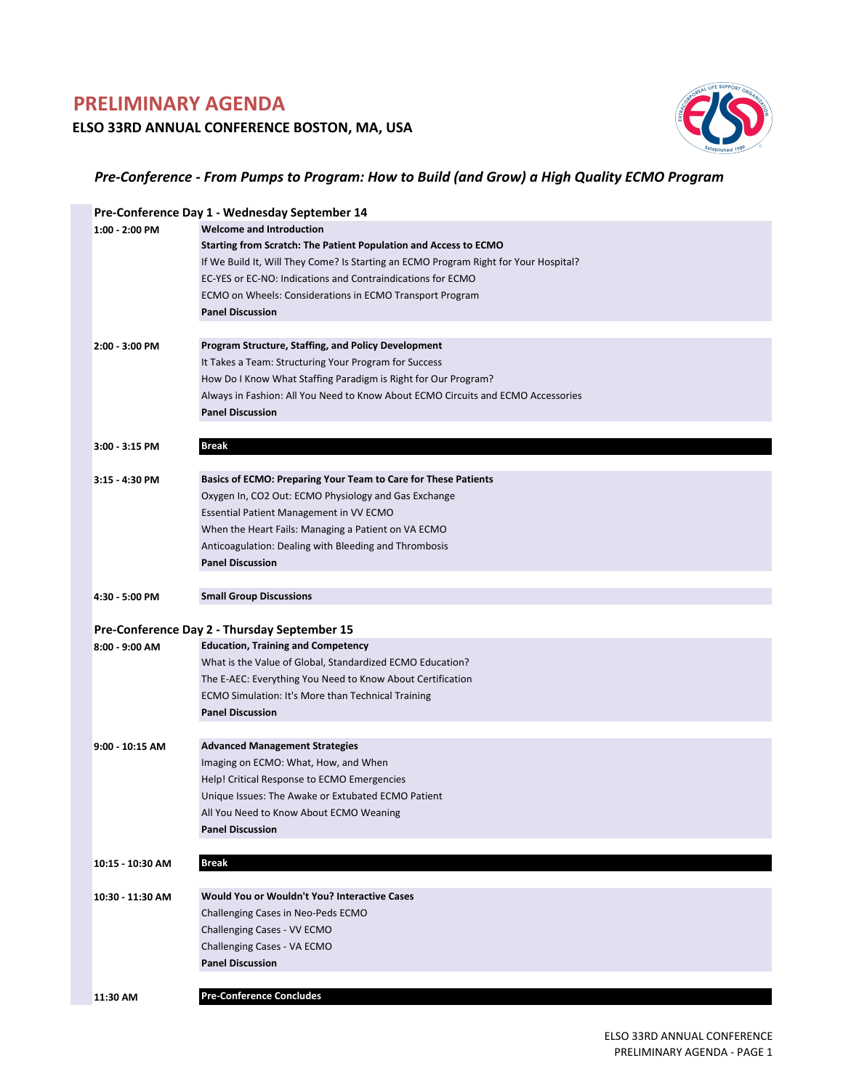# **PRELIMINARY AGENDA**

### **ELSO 33RD ANNUAL CONFERENCE BOSTON, MA, USA**



### *Pre‐Conference ‐ From Pumps to Program: How to Build (and Grow) a High Quality ECMO Program*

|                  | Pre-Conference Day 1 - Wednesday September 14                                        |
|------------------|--------------------------------------------------------------------------------------|
| 1:00 - 2:00 PM   | <b>Welcome and Introduction</b>                                                      |
|                  | Starting from Scratch: The Patient Population and Access to ECMO                     |
|                  | If We Build It, Will They Come? Is Starting an ECMO Program Right for Your Hospital? |
|                  | EC-YES or EC-NO: Indications and Contraindications for ECMO                          |
|                  | ECMO on Wheels: Considerations in ECMO Transport Program                             |
|                  | <b>Panel Discussion</b>                                                              |
|                  |                                                                                      |
| 2:00 - 3:00 PM   | <b>Program Structure, Staffing, and Policy Development</b>                           |
|                  | It Takes a Team: Structuring Your Program for Success                                |
|                  | How Do I Know What Staffing Paradigm is Right for Our Program?                       |
|                  | Always in Fashion: All You Need to Know About ECMO Circuits and ECMO Accessories     |
|                  | <b>Panel Discussion</b>                                                              |
|                  |                                                                                      |
| 3:00 - 3:15 PM   | <b>Break</b>                                                                         |
|                  |                                                                                      |
| 3:15 - 4:30 PM   | Basics of ECMO: Preparing Your Team to Care for These Patients                       |
|                  | Oxygen In, CO2 Out: ECMO Physiology and Gas Exchange                                 |
|                  | Essential Patient Management in VV ECMO                                              |
|                  | When the Heart Fails: Managing a Patient on VA ECMO                                  |
|                  | Anticoagulation: Dealing with Bleeding and Thrombosis                                |
|                  | <b>Panel Discussion</b>                                                              |
|                  |                                                                                      |
| 4:30 - 5:00 PM   | <b>Small Group Discussions</b>                                                       |
|                  |                                                                                      |
|                  | Pre-Conference Day 2 - Thursday September 15                                         |
|                  |                                                                                      |
| 8:00 - 9:00 AM   | <b>Education, Training and Competency</b>                                            |
|                  | What is the Value of Global, Standardized ECMO Education?                            |
|                  | The E-AEC: Everything You Need to Know About Certification                           |
|                  | ECMO Simulation: It's More than Technical Training                                   |
|                  | <b>Panel Discussion</b>                                                              |
|                  |                                                                                      |
| 9:00 - 10:15 AM  | <b>Advanced Management Strategies</b>                                                |
|                  | Imaging on ECMO: What, How, and When                                                 |
|                  | Help! Critical Response to ECMO Emergencies                                          |
|                  | Unique Issues: The Awake or Extubated ECMO Patient                                   |
|                  | All You Need to Know About ECMO Weaning                                              |
|                  | <b>Panel Discussion</b>                                                              |
|                  |                                                                                      |
| 10:15 - 10:30 AM | <b>Break</b>                                                                         |
|                  |                                                                                      |
| 10:30 - 11:30 AM | Would You or Wouldn't You? Interactive Cases                                         |
|                  | Challenging Cases in Neo-Peds ECMO                                                   |
|                  | Challenging Cases - VV ECMO                                                          |
|                  | Challenging Cases - VA ECMO                                                          |
|                  | <b>Panel Discussion</b>                                                              |
| 11:30 AM         | <b>Pre-Conference Concludes</b>                                                      |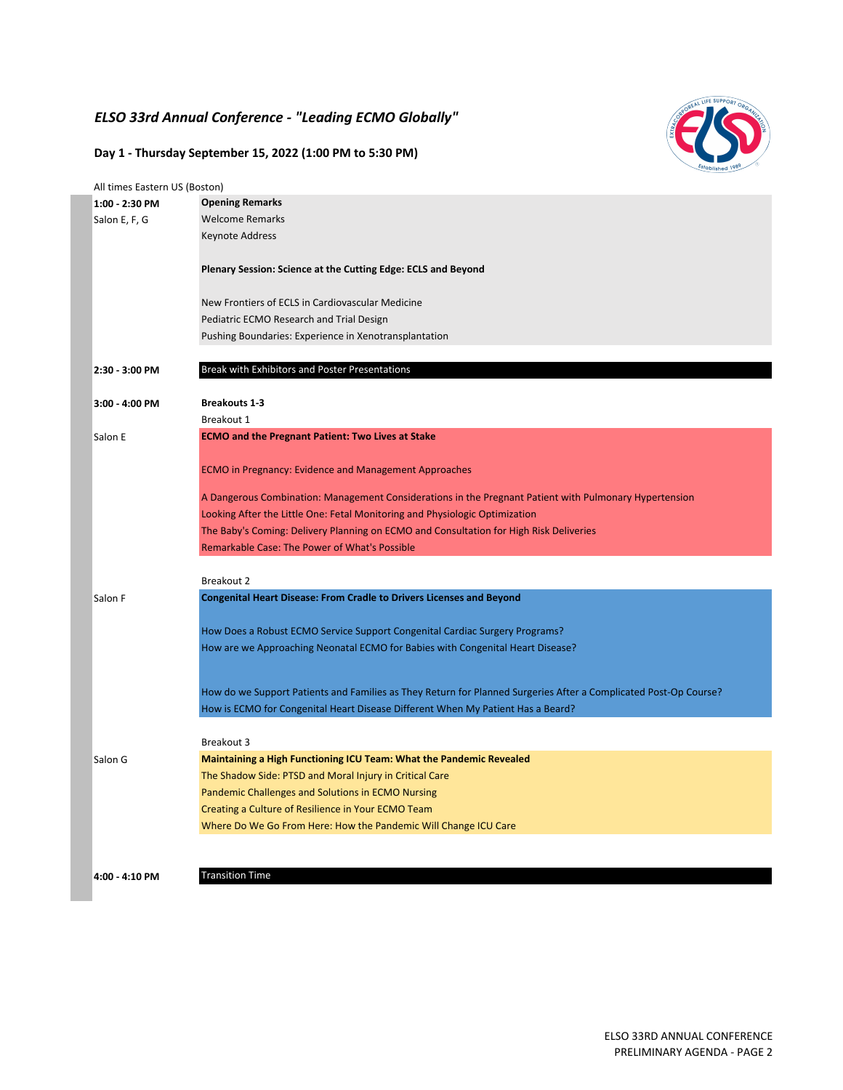## *ELSO 33rd Annual Conference ‐ "Leading ECMO Globally"*

### **Day 1 ‐ Thursday September 15, 2022 (1:00 PM to 5:30 PM)**

| All times Eastern US (Boston) |                                                                                                                  |
|-------------------------------|------------------------------------------------------------------------------------------------------------------|
| 1:00 - 2:30 PM                | <b>Opening Remarks</b>                                                                                           |
| Salon E, F, G                 | <b>Welcome Remarks</b>                                                                                           |
|                               | Keynote Address                                                                                                  |
|                               | Plenary Session: Science at the Cutting Edge: ECLS and Beyond                                                    |
|                               | New Frontiers of ECLS in Cardiovascular Medicine                                                                 |
|                               | Pediatric ECMO Research and Trial Design                                                                         |
|                               | Pushing Boundaries: Experience in Xenotransplantation                                                            |
| 2:30 - 3:00 PM                | Break with Exhibitors and Poster Presentations                                                                   |
| 3:00 - 4:00 PM                | <b>Breakouts 1-3</b>                                                                                             |
|                               | Breakout 1                                                                                                       |
| Salon E                       | <b>ECMO and the Pregnant Patient: Two Lives at Stake</b>                                                         |
|                               | <b>ECMO in Pregnancy: Evidence and Management Approaches</b>                                                     |
|                               |                                                                                                                  |
|                               | A Dangerous Combination: Management Considerations in the Pregnant Patient with Pulmonary Hypertension           |
|                               | Looking After the Little One: Fetal Monitoring and Physiologic Optimization                                      |
|                               | The Baby's Coming: Delivery Planning on ECMO and Consultation for High Risk Deliveries                           |
|                               | <b>Remarkable Case: The Power of What's Possible</b>                                                             |
|                               | Breakout 2                                                                                                       |
| Salon F                       | <b>Congenital Heart Disease: From Cradle to Drivers Licenses and Beyond</b>                                      |
|                               |                                                                                                                  |
|                               | How Does a Robust ECMO Service Support Congenital Cardiac Surgery Programs?                                      |
|                               | How are we Approaching Neonatal ECMO for Babies with Congenital Heart Disease?                                   |
|                               |                                                                                                                  |
|                               | How do we Support Patients and Families as They Return for Planned Surgeries After a Complicated Post-Op Course? |
|                               | How is ECMO for Congenital Heart Disease Different When My Patient Has a Beard?                                  |
|                               | Breakout 3                                                                                                       |
| Salon G                       | <b>Maintaining a High Functioning ICU Team: What the Pandemic Revealed</b>                                       |
|                               | The Shadow Side: PTSD and Moral Injury in Critical Care                                                          |
|                               | Pandemic Challenges and Solutions in ECMO Nursing                                                                |
|                               | Creating a Culture of Resilience in Your ECMO Team                                                               |
|                               | Where Do We Go From Here: How the Pandemic Will Change ICU Care                                                  |
|                               |                                                                                                                  |
|                               |                                                                                                                  |
| 4:00 - 4:10 PM                | <b>Transition Time</b>                                                                                           |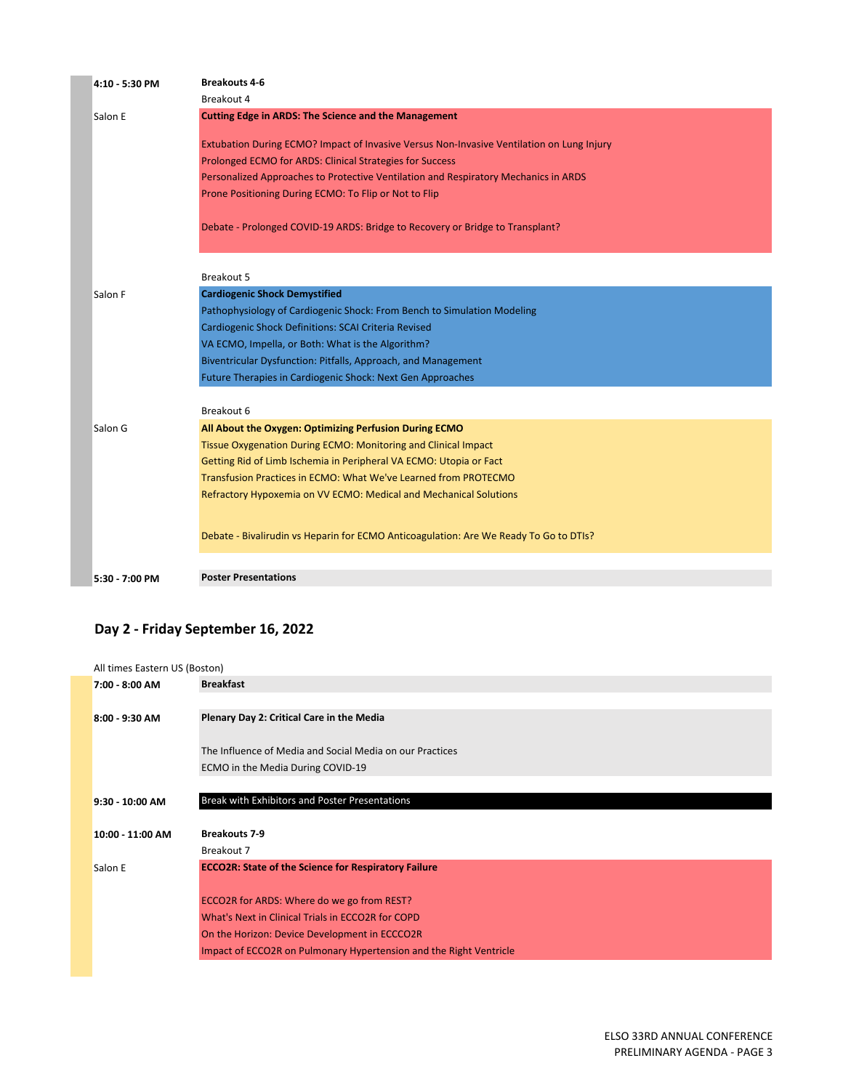| 4:10 - 5:30 PM | <b>Breakouts 4-6</b>                                                                      |
|----------------|-------------------------------------------------------------------------------------------|
|                | Breakout 4                                                                                |
| Salon E        | <b>Cutting Edge in ARDS: The Science and the Management</b>                               |
|                | Extubation During ECMO? Impact of Invasive Versus Non-Invasive Ventilation on Lung Injury |
|                | Prolonged ECMO for ARDS: Clinical Strategies for Success                                  |
|                |                                                                                           |
|                | Personalized Approaches to Protective Ventilation and Respiratory Mechanics in ARDS       |
|                | Prone Positioning During ECMO: To Flip or Not to Flip                                     |
|                | Debate - Prolonged COVID-19 ARDS: Bridge to Recovery or Bridge to Transplant?             |
|                |                                                                                           |
|                | Breakout 5                                                                                |
|                |                                                                                           |
| Salon F        | <b>Cardiogenic Shock Demystified</b>                                                      |
|                | Pathophysiology of Cardiogenic Shock: From Bench to Simulation Modeling                   |
|                | Cardiogenic Shock Definitions: SCAI Criteria Revised                                      |
|                | VA ECMO, Impella, or Both: What is the Algorithm?                                         |
|                | Biventricular Dysfunction: Pitfalls, Approach, and Management                             |
|                | Future Therapies in Cardiogenic Shock: Next Gen Approaches                                |
|                | Breakout 6                                                                                |
| Salon G        | All About the Oxygen: Optimizing Perfusion During ECMO                                    |
|                | Tissue Oxygenation During ECMO: Monitoring and Clinical Impact                            |
|                | Getting Rid of Limb Ischemia in Peripheral VA ECMO: Utopia or Fact                        |
|                | Transfusion Practices in ECMO: What We've Learned from PROTECMO                           |
|                | Refractory Hypoxemia on VV ECMO: Medical and Mechanical Solutions                         |
|                |                                                                                           |
|                | Debate - Bivalirudin vs Heparin for ECMO Anticoagulation: Are We Ready To Go to DTIs?     |
|                |                                                                                           |
| 5:30 - 7:00 PM | <b>Poster Presentations</b>                                                               |

## **Day 2 ‐ Friday September 16, 2022**

| All times Eastern US (Boston) |                                                             |
|-------------------------------|-------------------------------------------------------------|
| 7:00 - 8:00 AM                | <b>Breakfast</b>                                            |
|                               |                                                             |
| 8:00 - 9:30 AM                | Plenary Day 2: Critical Care in the Media                   |
|                               | The Influence of Media and Social Media on our Practices    |
|                               | ECMO in the Media During COVID-19                           |
|                               |                                                             |
| 9:30 - 10:00 AM               | Break with Exhibitors and Poster Presentations              |
|                               |                                                             |
| 10:00 - 11:00 AM              | <b>Breakouts 7-9</b>                                        |
|                               | Breakout 7                                                  |
| Salon E                       | <b>ECCO2R: State of the Science for Respiratory Failure</b> |
|                               |                                                             |
|                               | ECCO2R for ARDS: Where do we go from REST?                  |
|                               |                                                             |
|                               | What's Next in Clinical Trials in ECCO2R for COPD           |
|                               | On the Horizon: Device Development in ECCCO2R               |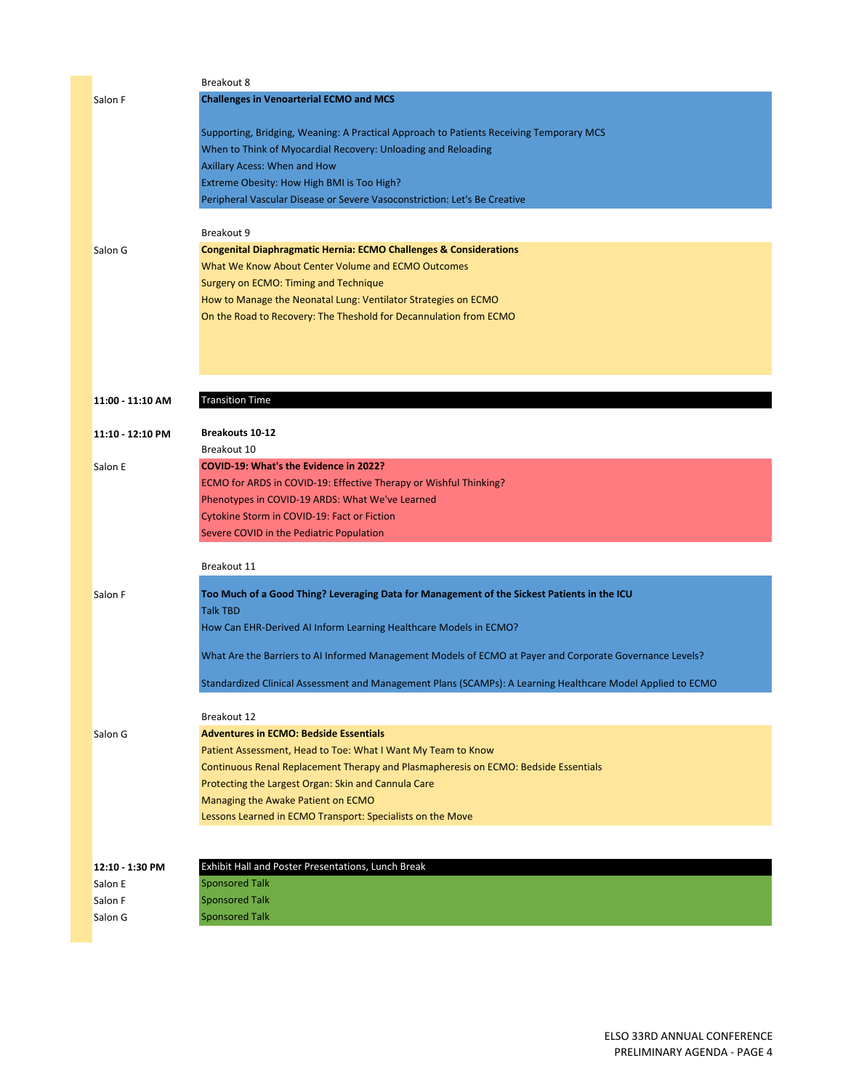|                  | Breakout 8                                                                                                  |
|------------------|-------------------------------------------------------------------------------------------------------------|
| Salon F          | <b>Challenges in Venoarterial ECMO and MCS</b>                                                              |
|                  |                                                                                                             |
|                  | Supporting, Bridging, Weaning: A Practical Approach to Patients Receiving Temporary MCS                     |
|                  | When to Think of Myocardial Recovery: Unloading and Reloading                                               |
|                  | Axillary Acess: When and How                                                                                |
|                  | Extreme Obesity: How High BMI is Too High?                                                                  |
|                  | Peripheral Vascular Disease or Severe Vasoconstriction: Let's Be Creative                                   |
|                  |                                                                                                             |
|                  | Breakout 9                                                                                                  |
| Salon G          | <b>Congenital Diaphragmatic Hernia: ECMO Challenges &amp; Considerations</b>                                |
|                  | What We Know About Center Volume and ECMO Outcomes                                                          |
|                  | Surgery on ECMO: Timing and Technique                                                                       |
|                  | How to Manage the Neonatal Lung: Ventilator Strategies on ECMO                                              |
|                  | On the Road to Recovery: The Theshold for Decannulation from ECMO                                           |
|                  |                                                                                                             |
|                  |                                                                                                             |
|                  |                                                                                                             |
|                  |                                                                                                             |
| 11:00 - 11:10 AM | <b>Transition Time</b>                                                                                      |
|                  |                                                                                                             |
| 11:10 - 12:10 PM | <b>Breakouts 10-12</b>                                                                                      |
|                  | Breakout 10                                                                                                 |
| Salon E          | COVID-19: What's the Evidence in 2022?                                                                      |
|                  | ECMO for ARDS in COVID-19: Effective Therapy or Wishful Thinking?                                           |
|                  | Phenotypes in COVID-19 ARDS: What We've Learned                                                             |
|                  | Cytokine Storm in COVID-19: Fact or Fiction                                                                 |
|                  | Severe COVID in the Pediatric Population                                                                    |
|                  |                                                                                                             |
|                  | Breakout 11                                                                                                 |
|                  |                                                                                                             |
| Salon F          | Too Much of a Good Thing? Leveraging Data for Management of the Sickest Patients in the ICU                 |
|                  | <b>Talk TBD</b>                                                                                             |
|                  | How Can EHR-Derived AI Inform Learning Healthcare Models in ECMO?                                           |
|                  |                                                                                                             |
|                  | What Are the Barriers to AI Informed Management Models of ECMO at Payer and Corporate Governance Levels?    |
|                  | Standardized Clinical Assessment and Management Plans (SCAMPs): A Learning Healthcare Model Applied to ECMO |
|                  |                                                                                                             |
|                  | Breakout 12                                                                                                 |
| Salon G          | <b>Adventures in ECMO: Bedside Essentials</b>                                                               |
|                  | Patient Assessment, Head to Toe: What I Want My Team to Know                                                |
|                  | Continuous Renal Replacement Therapy and Plasmapheresis on ECMO: Bedside Essentials                         |
|                  | Protecting the Largest Organ: Skin and Cannula Care                                                         |
|                  | Managing the Awake Patient on ECMO                                                                          |
|                  | Lessons Learned in ECMO Transport: Specialists on the Move                                                  |
|                  |                                                                                                             |
|                  |                                                                                                             |
| 12:10 - 1:30 PM  | Exhibit Hall and Poster Presentations, Lunch Break                                                          |
| Salon E          | <b>Sponsored Talk</b>                                                                                       |
| Salon F          | <b>Sponsored Talk</b>                                                                                       |
| Salon G          | <b>Sponsored Talk</b>                                                                                       |
|                  |                                                                                                             |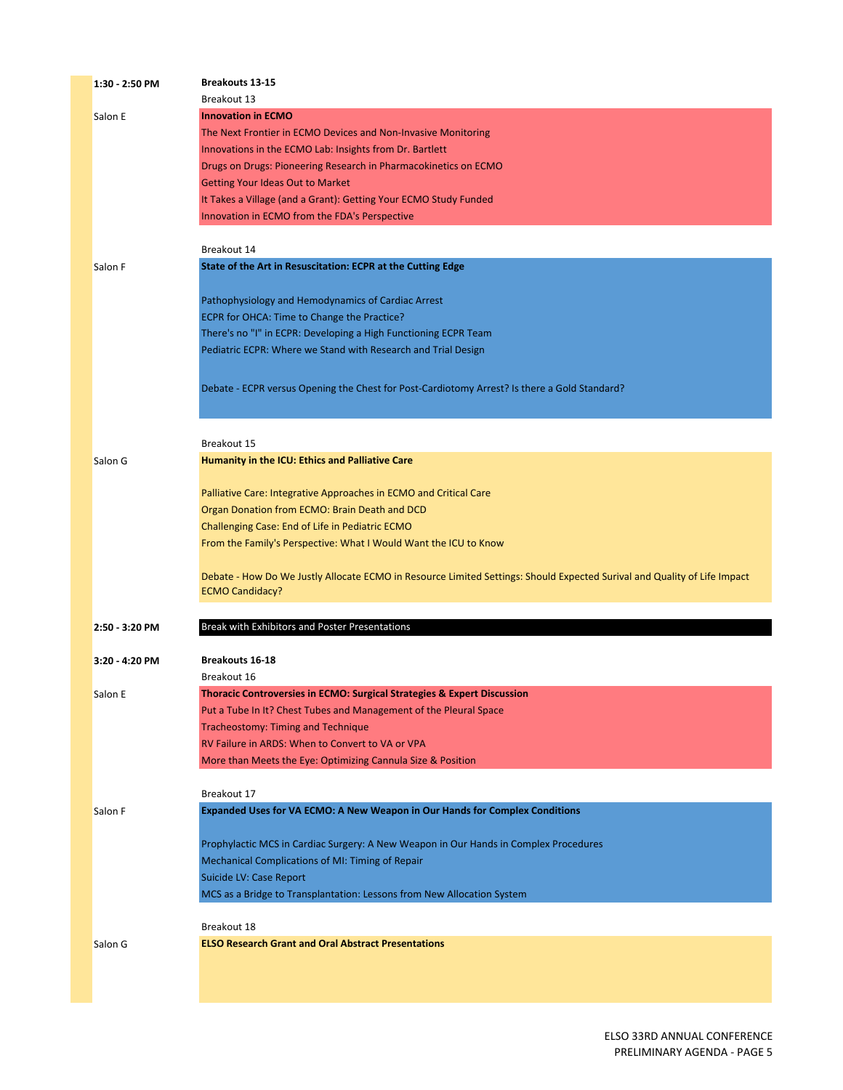| 1:30 - 2:50 PM | <b>Breakouts 13-15</b>                                                                                                   |
|----------------|--------------------------------------------------------------------------------------------------------------------------|
|                | Breakout 13                                                                                                              |
| Salon E        | <b>Innovation in ECMO</b>                                                                                                |
|                | The Next Frontier in ECMO Devices and Non-Invasive Monitoring                                                            |
|                | Innovations in the ECMO Lab: Insights from Dr. Bartlett                                                                  |
|                | Drugs on Drugs: Pioneering Research in Pharmacokinetics on ECMO                                                          |
|                | <b>Getting Your Ideas Out to Market</b>                                                                                  |
|                | It Takes a Village (and a Grant): Getting Your ECMO Study Funded                                                         |
|                | Innovation in ECMO from the FDA's Perspective                                                                            |
|                |                                                                                                                          |
|                | Breakout 14                                                                                                              |
| Salon F        | State of the Art in Resuscitation: ECPR at the Cutting Edge                                                              |
|                |                                                                                                                          |
|                | Pathophysiology and Hemodynamics of Cardiac Arrest                                                                       |
|                | ECPR for OHCA: Time to Change the Practice?                                                                              |
|                | There's no "I" in ECPR: Developing a High Functioning ECPR Team                                                          |
|                | Pediatric ECPR: Where we Stand with Research and Trial Design                                                            |
|                |                                                                                                                          |
|                | Debate - ECPR versus Opening the Chest for Post-Cardiotomy Arrest? Is there a Gold Standard?                             |
|                |                                                                                                                          |
|                |                                                                                                                          |
|                |                                                                                                                          |
|                | Breakout 15                                                                                                              |
| Salon G        | Humanity in the ICU: Ethics and Palliative Care                                                                          |
|                |                                                                                                                          |
|                | Palliative Care: Integrative Approaches in ECMO and Critical Care                                                        |
|                | Organ Donation from ECMO: Brain Death and DCD                                                                            |
|                | Challenging Case: End of Life in Pediatric ECMO                                                                          |
|                | From the Family's Perspective: What I Would Want the ICU to Know                                                         |
|                |                                                                                                                          |
|                | Debate - How Do We Justly Allocate ECMO in Resource Limited Settings: Should Expected Surival and Quality of Life Impact |
|                | <b>ECMO Candidacy?</b>                                                                                                   |
|                |                                                                                                                          |
| 2:50 - 3:20 PM | Break with Exhibitors and Poster Presentations                                                                           |
|                |                                                                                                                          |
| 3:20 - 4:20 PM | <b>Breakouts 16-18</b>                                                                                                   |
|                | Breakout 16                                                                                                              |
| Salon E        | <b>Thoracic Controversies in ECMO: Surgical Strategies &amp; Expert Discussion</b>                                       |
|                | Put a Tube In It? Chest Tubes and Management of the Pleural Space                                                        |
|                | Tracheostomy: Timing and Technique                                                                                       |
|                | RV Failure in ARDS: When to Convert to VA or VPA                                                                         |
|                | More than Meets the Eye: Optimizing Cannula Size & Position                                                              |
|                |                                                                                                                          |
|                | Breakout 17                                                                                                              |
| Salon F        | <b>Expanded Uses for VA ECMO: A New Weapon in Our Hands for Complex Conditions</b>                                       |
|                |                                                                                                                          |
|                | Prophylactic MCS in Cardiac Surgery: A New Weapon in Our Hands in Complex Procedures                                     |
|                | Mechanical Complications of MI: Timing of Repair                                                                         |
|                | Suicide LV: Case Report                                                                                                  |
|                | MCS as a Bridge to Transplantation: Lessons from New Allocation System                                                   |
|                |                                                                                                                          |
|                | Breakout 18                                                                                                              |
| Salon G        | <b>ELSO Research Grant and Oral Abstract Presentations</b>                                                               |
|                |                                                                                                                          |
|                |                                                                                                                          |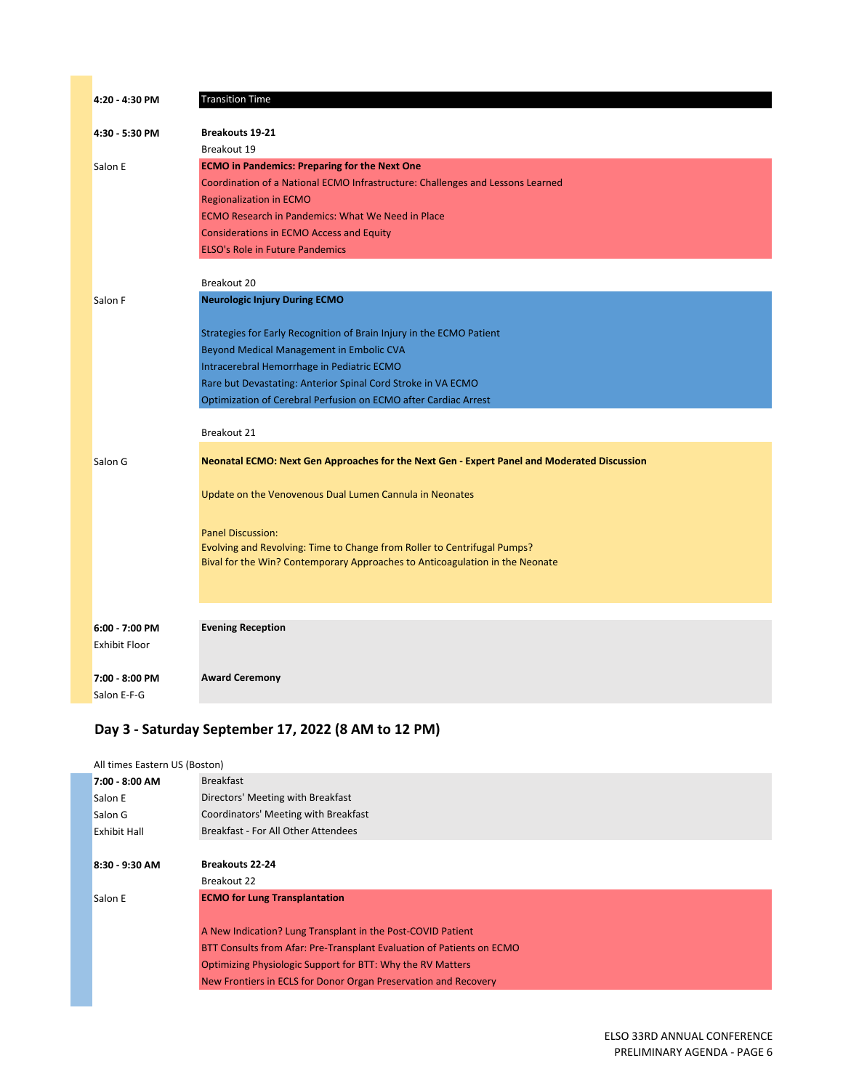| 4:20 - 4:30 PM                         | <b>Transition Time</b>                                                                                                                                   |
|----------------------------------------|----------------------------------------------------------------------------------------------------------------------------------------------------------|
| 4:30 - 5:30 PM                         | <b>Breakouts 19-21</b>                                                                                                                                   |
|                                        | Breakout 19                                                                                                                                              |
| Salon E                                | <b>ECMO</b> in Pandemics: Preparing for the Next One                                                                                                     |
|                                        | Coordination of a National ECMO Infrastructure: Challenges and Lessons Learned                                                                           |
|                                        | <b>Regionalization in ECMO</b>                                                                                                                           |
|                                        | ECMO Research in Pandemics: What We Need in Place                                                                                                        |
|                                        | <b>Considerations in ECMO Access and Equity</b>                                                                                                          |
|                                        | <b>ELSO's Role in Future Pandemics</b>                                                                                                                   |
|                                        | Breakout 20                                                                                                                                              |
| Salon F                                | <b>Neurologic Injury During ECMO</b>                                                                                                                     |
|                                        | Strategies for Early Recognition of Brain Injury in the ECMO Patient                                                                                     |
|                                        | Beyond Medical Management in Embolic CVA                                                                                                                 |
|                                        | Intracerebral Hemorrhage in Pediatric ECMO                                                                                                               |
|                                        | Rare but Devastating: Anterior Spinal Cord Stroke in VA ECMO                                                                                             |
|                                        | Optimization of Cerebral Perfusion on ECMO after Cardiac Arrest                                                                                          |
|                                        |                                                                                                                                                          |
|                                        | Breakout 21                                                                                                                                              |
| Salon G                                | Neonatal ECMO: Next Gen Approaches for the Next Gen - Expert Panel and Moderated Discussion                                                              |
|                                        | Update on the Venovenous Dual Lumen Cannula in Neonates                                                                                                  |
|                                        |                                                                                                                                                          |
|                                        | <b>Panel Discussion:</b>                                                                                                                                 |
|                                        | Evolving and Revolving: Time to Change from Roller to Centrifugal Pumps?<br>Bival for the Win? Contemporary Approaches to Anticoagulation in the Neonate |
|                                        |                                                                                                                                                          |
|                                        |                                                                                                                                                          |
|                                        | <b>Evening Reception</b>                                                                                                                                 |
| 6:00 - 7:00 PM<br><b>Exhibit Floor</b> |                                                                                                                                                          |
|                                        |                                                                                                                                                          |
| 7:00 - 8:00 PM                         | <b>Award Ceremony</b>                                                                                                                                    |
| Salon E-F-G                            |                                                                                                                                                          |

## **Day 3 ‐ Saturday September 17, 2022 (8 AM to 12 PM)**

| All times Eastern US (Boston) |                                                                       |
|-------------------------------|-----------------------------------------------------------------------|
| 7:00 - 8:00 AM                | <b>Breakfast</b>                                                      |
| Salon E                       | Directors' Meeting with Breakfast                                     |
| Salon G                       | Coordinators' Meeting with Breakfast                                  |
| Exhibit Hall                  | <b>Breakfast - For All Other Attendees</b>                            |
|                               |                                                                       |
| 8:30 - 9:30 AM                | <b>Breakouts 22-24</b>                                                |
|                               | Breakout 22                                                           |
| Salon E                       | <b>ECMO for Lung Transplantation</b>                                  |
|                               |                                                                       |
|                               | A New Indication? Lung Transplant in the Post-COVID Patient           |
|                               | BTT Consults from Afar: Pre-Transplant Evaluation of Patients on ECMO |
|                               | Optimizing Physiologic Support for BTT: Why the RV Matters            |
|                               | New Frontiers in ECLS for Donor Organ Preservation and Recovery       |